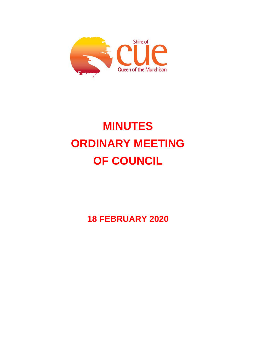

# **MINUTES ORDINARY MEETING OF COUNCIL**

**18 FEBRUARY 2020**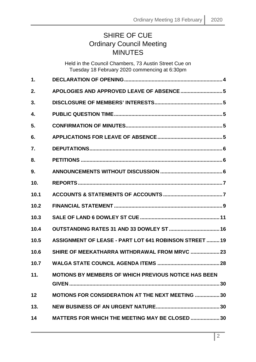# SHIRE OF CUE Ordinary Council Meeting **MINUTES**

|      | Held in the Council Chambers, 73 Austin Street Cue on<br>Tuesday 18 February 2020 commencing at 6:30pm |  |
|------|--------------------------------------------------------------------------------------------------------|--|
| 1.   |                                                                                                        |  |
| 2.   |                                                                                                        |  |
| 3.   |                                                                                                        |  |
| 4.   |                                                                                                        |  |
| 5.   |                                                                                                        |  |
| 6.   |                                                                                                        |  |
| 7.   |                                                                                                        |  |
| 8.   |                                                                                                        |  |
| 9.   |                                                                                                        |  |
| 10.  |                                                                                                        |  |
| 10.1 |                                                                                                        |  |
| 10.2 |                                                                                                        |  |
| 10.3 |                                                                                                        |  |
| 10.4 |                                                                                                        |  |
| 10.5 | <b>ASSIGNMENT OF LEASE - PART LOT 641 ROBINSON STREET  19</b>                                          |  |
| 10.6 | SHIRE OF MEEKATHARRA WITHDRAWAL FROM MRVC  23                                                          |  |
| 10.7 |                                                                                                        |  |
| 11.  | <b>MOTIONS BY MEMBERS OF WHICH PREVIOUS NOTICE HAS BEEN</b>                                            |  |
| 12   | <b>MOTIONS FOR CONSIDERATION AT THE NEXT MEETING  30</b>                                               |  |
| 13.  |                                                                                                        |  |
| 14   | <b>MATTERS FOR WHICH THE MEETING MAY BE CLOSED  30</b>                                                 |  |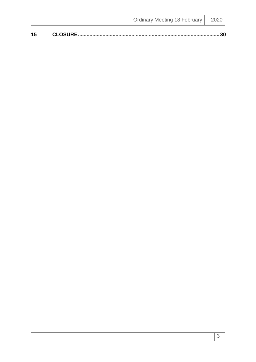| 15 | CLOSUDE |
|----|---------|
|    |         |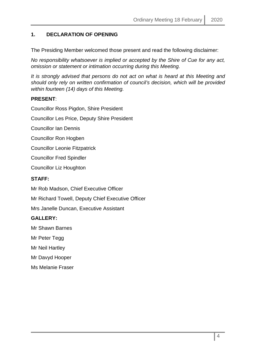# <span id="page-3-0"></span>**1. DECLARATION OF OPENING**

The Presiding Member welcomed those present and read the following disclaimer:

*No responsibility whatsoever is implied or accepted by the Shire of Cue for any act, omission or statement or intimation occurring during this Meeting.*

*It is strongly advised that persons do not act on what is heard at this Meeting and should only rely on written confirmation of council's decision, which will be provided within fourteen (14) days of this Meeting.*

### **PRESENT**:

Councillor Ross Pigdon, Shire President

Councillor Les Price, Deputy Shire President

Councillor Ian Dennis

Councillor Ron Hogben

Councillor Leonie Fitzpatrick

Councillor Fred Spindler

Councillor Liz Houghton

#### **STAFF:**

Mr Rob Madson, Chief Executive Officer

Mr Richard Towell, Deputy Chief Executive Officer

Mrs Janelle Duncan, Executive Assistant

#### **GALLERY:**

Mr Shawn Barnes

Mr Peter Tegg

Mr Neil Hartley

Mr Davyd Hooper

Ms Melanie Fraser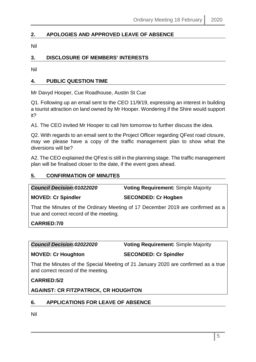# <span id="page-4-0"></span>**2. APOLOGIES AND APPROVED LEAVE OF ABSENCE**

Nil

# <span id="page-4-1"></span>**3. DISCLOSURE OF MEMBERS' INTERESTS**

Nil

# <span id="page-4-2"></span>**4. PUBLIC QUESTION TIME**

Mr Davyd Hooper, Cue Roadhouse, Austin St Cue

Q1. Following up an email sent to the CEO 11/9/19, expressing an interest in building a tourist attraction on land owned by Mr Hooper. Wondering if the Shire would support it?

A1. The CEO invited Mr Hooper to call him tomorrow to further discuss the idea.

Q2. With regards to an email sent to the Project Officer regarding QFest road closure, may we please have a copy of the traffic management plan to show what the diversions will be?

A2. The CEO explained the QFest is still in the planning stage. The traffic management plan will be finalised closer to the date, if the event goes ahead.

### <span id="page-4-3"></span>**5. CONFIRMATION OF MINUTES**

*Council Decision:01022020* **Voting Requirement:** Simple Majority

**MOVED: Cr Spindler SECONDED: Cr Hogben**

That the Minutes of the Ordinary Meeting of 17 December 2019 are confirmed as a true and correct record of the meeting.

**CARRIED:7/0**

*Council Decision:02022020* **Voting Requirement:** Simple Majority

**MOVED: Cr Houghton SECONDED: Cr Spindler**

That the Minutes of the Special Meeting of 21 January 2020 are confirmed as a true and correct record of the meeting.

**CARRIED:5/2**

**AGAINST: CR FITZPATRICK, CR HOUGHTON**

# <span id="page-4-4"></span>**6. APPLICATIONS FOR LEAVE OF ABSENCE**

Nil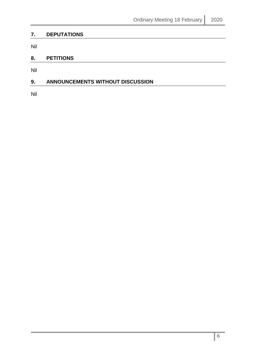# <span id="page-5-0"></span>**7. DEPUTATIONS**

Nil

# <span id="page-5-1"></span>**8. PETITIONS**

Nil

# <span id="page-5-2"></span>**9. ANNOUNCEMENTS WITHOUT DISCUSSION**

Nil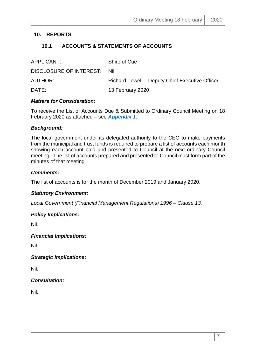# <span id="page-6-1"></span><span id="page-6-0"></span>**10. REPORTS**

# **10.1 ACCOUNTS & STATEMENTS OF ACCOUNTS**

| APPLICANT:                  | Shire of Cue                                    |
|-----------------------------|-------------------------------------------------|
| DISCLOSURE OF INTEREST: Nil |                                                 |
| AUTHOR:                     | Richard Towell – Deputy Chief Executive Officer |
| DATE:                       | 13 February 2020                                |

#### *Matters for Consideration:*

To receive the List of Accounts Due & Submitted to Ordinary Council Meeting on 18 February 2020 as attached – see *Appendix 1.*

#### *Background:*

The local government under its delegated authority to the CEO to make payments from the municipal and trust funds is required to prepare a list of accounts each month showing each account paid and presented to Council at the next ordinary Council meeting. The list of accounts prepared and presented to Council must form part of the minutes of that meeting.

#### *Comments:*

The list of accounts is for the month of December 2019 and January 2020.

#### *Statutory Environment:*

*Local Government (Financial Management Regulations) 1996 – Clause 13.*

#### *Policy Implications:*

Nil.

#### *Financial Implications:*

Nil.

*Strategic Implications:*

Nil.

*Consultation:*

Nil.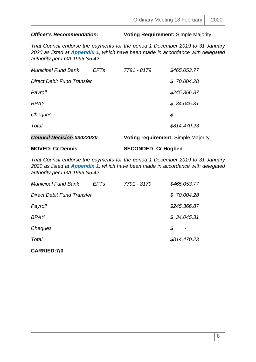# *Officer's Recommendation:* **Voting Requirement:** Simple Majority

*That Council endorse the payments for the period 1 December 2019 to 31 January 2020 as listed at Appendix 1, which have been made in accordance with delegated authority per LGA 1995 S5.42.*

| 7791 - 8179<br><b>Municipal Fund Bank</b><br>EFTs | \$465,053.77 |
|---------------------------------------------------|--------------|
| Direct Debit Fund Transfer                        | \$70,004.28  |
| Payroll                                           | \$245,366.87 |
| <b>BPAY</b>                                       | \$34,045.31  |
| \$<br>Cheques                                     |              |
| Total                                             | \$814,470.23 |

| <b>Council Decision:03022020</b>                                                                                                                                                                   | <b>Voting requirement: Simple Majority</b> |  |
|----------------------------------------------------------------------------------------------------------------------------------------------------------------------------------------------------|--------------------------------------------|--|
| <b>MOVED: Cr Dennis</b>                                                                                                                                                                            | <b>SECONDED: Cr Hogben</b>                 |  |
| That Council endorse the payments for the period 1 December 2019 to 31 January<br>2020 as listed at Appendix 1, which have been made in accordance with delegated<br>authority per LGA 1995 S5.42. |                                            |  |
| <b>Municipal Fund Bank</b><br><b>EFTs</b>                                                                                                                                                          | 7791 - 8179<br>\$465,053.77                |  |
| Direct Debit Fund Transfer                                                                                                                                                                         | \$70,004.28                                |  |
| Payroll                                                                                                                                                                                            | \$245,366.87                               |  |
| BPAY                                                                                                                                                                                               | \$34,045.31                                |  |
| Cheques                                                                                                                                                                                            | \$                                         |  |
| Total                                                                                                                                                                                              | \$814,470.23                               |  |
| <b>CARRIED:7/0</b>                                                                                                                                                                                 |                                            |  |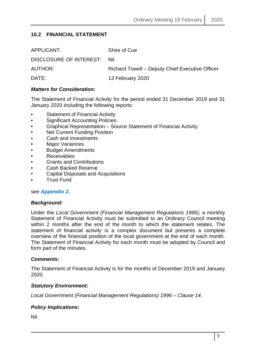# <span id="page-8-0"></span>**10.2 FINANCIAL STATEMENT**

| APPLICANT:                  | Shire of Cue                                    |
|-----------------------------|-------------------------------------------------|
| DISCLOSURE OF INTEREST: Nil |                                                 |
| <b>AUTHOR:</b>              | Richard Towell – Deputy Chief Executive Officer |
| DATE:                       | 13 February 2020                                |

#### *Matters for Consideration:*

The Statement of Financial Activity for the period ended 31 December 2019 and 31 January 2020 including the following reports:

- **Statement of Financial Activity**
- Significant Accounting Policies
- Graphical Representation Source Statement of Financial Activity
- Net Current Funding Position
- Cash and Investments
- **Major Variances**
- Budget Amendments
- **Receivables**
- Grants and Contributions
- Cash Backed Reserve
- Capital Disposals and Acquisitions
- Trust Fund

#### see *Appendix 2.*

#### *Background:*

Under the *Local Government (Financial Management Regulations 1996)*, a monthly Statement of Financial Activity must be submitted to an Ordinary Council meeting within 2 months after the end of the month to which the statement relates. The statement of financial activity is a complex document but presents a complete overview of the financial position of the local government at the end of each month. The Statement of Financial Activity for each month must be adopted by Council and form part of the minutes.

#### *Comments:*

The Statement of Financial Activity is for the months of December 2019 and January 2020.

#### *Statutory Environment:*

*Local Government (Financial Management Regulations) 1996 – Clause 14.*

#### *Policy Implications:*

Nil.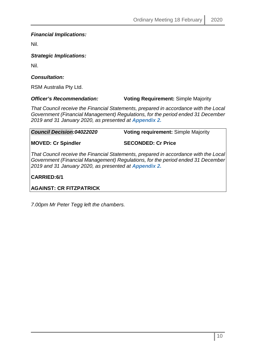# *Financial Implications:*

Nil.

*Strategic Implications:*

Nil.

# *Consultation:*

RSM Australia Pty Ltd.

# *Officer's Recommendation:* **Voting Requirement:** Simple Majority

*That Council receive the Financial Statements, prepared in accordance with the Local Government (Financial Management) Regulations, for the period ended 31 December 2019 and 31 January 2020, as presented at Appendix 2.*

*Council Decision:04022020* **Voting requirement:** Simple Majority

**MOVED: Cr Spindler SECONDED: Cr Price**

*That Council receive the Financial Statements, prepared in accordance with the Local Government (Financial Management) Regulations, for the period ended 31 December 2019 and 31 January 2020, as presented at Appendix 2.*

**CARRIED:6/1**

**AGAINST: CR FITZPATRICK**

*7.00pm Mr Peter Tegg left the chambers.*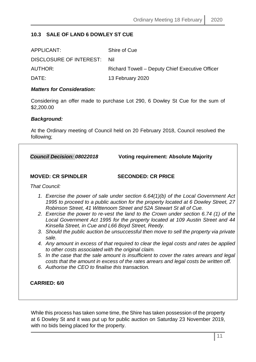# <span id="page-10-0"></span>**10.3 SALE OF LAND 6 DOWLEY ST CUE**

| APPLICANT:                  | Shire of Cue                                    |
|-----------------------------|-------------------------------------------------|
| DISCLOSURE OF INTEREST: Nil |                                                 |
| AUTHOR:                     | Richard Towell – Deputy Chief Executive Officer |
| DATE:                       | 13 February 2020                                |

#### *Matters for Consideration:*

Considering an offer made to purchase Lot 290, 6 Dowley St Cue for the sum of \$2,200.00

#### *Background:*

At the Ordinary meeting of Council held on 20 February 2018, Council resolved the following;

| <b>Council Decision: 08022018</b>                   | <b>Voting requirement: Absolute Majority</b>                                                                                                                                                                                                     |
|-----------------------------------------------------|--------------------------------------------------------------------------------------------------------------------------------------------------------------------------------------------------------------------------------------------------|
| <b>MOVED: CR SPINDLER</b>                           | <b>SECONDED: CR PRICE</b>                                                                                                                                                                                                                        |
| That Council:                                       |                                                                                                                                                                                                                                                  |
|                                                     | 1. Exercise the power of sale under section 6.64(1)(b) of the Local Government Act<br>1995 to proceed to a public auction for the property located at 6 Dowley Street, 27<br>Robinson Street, 41 Wittenoom Street and 52A Stewart St all of Cue. |
| Kinsella Street, in Cue and L66 Boyd Street, Reedy. | 2. Exercise the power to re-vest the land to the Crown under section 6.74 (1) of the<br>Local Government Act 1995 for the property located at 109 Austin Street and 44                                                                           |
| sale.                                               | 3. Should the public auction be unsuccessful then move to sell the property via private                                                                                                                                                          |
| to other costs associated with the original claim.  | 4. Any amount in excess of that required to clear the legal costs and rates be applied                                                                                                                                                           |
|                                                     | 5. In the case that the sale amount is insufficient to cover the rates arrears and legal<br>costs that the amount in excess of the rates arrears and legal costs be written off.                                                                 |
| 6. Authorise the CEO to finalise this transaction.  |                                                                                                                                                                                                                                                  |
| <b>CARRIED: 6/0</b>                                 |                                                                                                                                                                                                                                                  |

While this process has taken some time, the Shire has taken possession of the property at 6 Dowley St and it was put up for public auction on Saturday 23 November 2019, with no bids being placed for the property.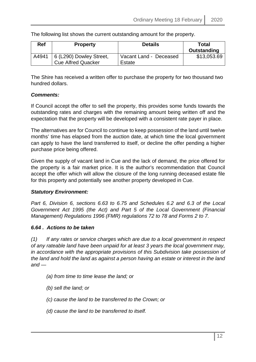The following list shows the current outstanding amount for the property.

| <b>Ref</b> | <b>Property</b>                                      | <b>Details</b>                   | Total<br>Outstanding |
|------------|------------------------------------------------------|----------------------------------|----------------------|
| A4941      | 6 (L290) Dowley Street,<br><b>Cue Alfred Quacker</b> | Vacant Land - Deceased<br>Estate | \$13,053.69          |

The Shire has received a written offer to purchase the property for two thousand two hundred dollars.

# *Comments:*

If Council accept the offer to sell the property, this provides some funds towards the outstanding rates and charges with the remaining amount being written off and the expectation that the property will be developed with a consistent rate payer in place.

The alternatives are for Council to continue to keep possession of the land until twelve months' time has elapsed from the auction date, at which time the local government can apply to have the land transferred to itself, or decline the offer pending a higher purchase price being offered.

Given the supply of vacant land in Cue and the lack of demand, the price offered for the property is a fair market price. It is the author's recommendation that Council accept the offer which will allow the closure of the long running deceased estate file for this property and potentially see another property developed in Cue.

#### *Statutory Environment:*

*Part 6, Division 6, sections 6.63 to 6.75 and Schedules 6.2 and 6.3 of the Local Government Act 1995 (the Act) and Part 5 of the Local Government (Financial Management) Regulations 1996 (FMR) regulations 72 to 78 and Forms 2 to 7.*

#### *6.64 . Actions to be taken*

*(1) If any rates or service charges which are due to a local government in respect of any rateable land have been unpaid for at least 3 years the local government may, in accordance with the appropriate provisions of this Subdivision take possession of the land and hold the land as against a person having an estate or interest in the land and —* 

- *(a) from time to time lease the land; or*
- *(b) sell the land; or*
- *(c) cause the land to be transferred to the Crown; or*
- *(d) cause the land to be transferred to itself.*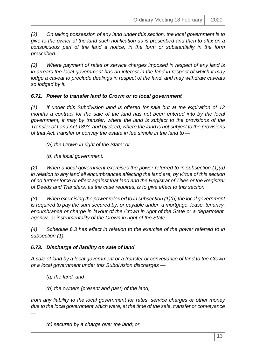*(2) On taking possession of any land under this section, the local government is to give to the owner of the land such notification as is prescribed and then to affix on a conspicuous part of the land a notice, in the form or substantially in the form prescribed.* 

*(3) Where payment of rates or service charges imposed in respect of any land is in arrears the local government has an interest in the land in respect of which it may lodge a caveat to preclude dealings in respect of the land, and may withdraw caveats so lodged by it.* 

# *6.71. Power to transfer land to Crown or to local government*

*(1) If under this Subdivision land is offered for sale but at the expiration of 12 months a contract for the sale of the land has not been entered into by the local government, it may by transfer, where the land is subject to the provisions of the Transfer of Land Act 1893, and by deed, where the land is not subject to the provisions of that Act, transfer or convey the estate in fee simple in the land to —*

*(a) the Crown in right of the State; or*

*(b) the local government.*

*(2) When a local government exercises the power referred to in subsection (1)(a) in relation to any land all encumbrances affecting the land are, by virtue of this section of no further force or effect against that land and the Registrar of Titles or the Registrar of Deeds and Transfers, as the case requires, is to give effect to this section.*

*(3) When exercising the power referred to in subsection (1)(b) the local government is required to pay the sum secured by, or payable under, a mortgage, lease, tenancy, encumbrance or charge in favour of the Crown in right of the State or a department, agency, or instrumentality of the Crown in right of the State.*

*(4) Schedule 6.3 has effect in relation to the exercise of the power referred to in subsection (1).*

# *6.73. Discharge of liability on sale of land*

*A sale of land by a local government or a transfer or conveyance of land to the Crown or a local government under this Subdivision discharges —*

*(a) the land; and*

*—*

*(b) the owners (present and past) of the land,*

*from any liability to the local government for rates, service charges or other money due to the local government which were, at the time of the sale, transfer or conveyance* 

*(c) secured by a charge over the land; or*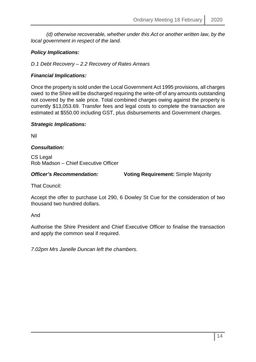*(d) otherwise recoverable, whether under this Act or another written law, by the local government in respect of the land.*

# *Policy Implications:*

*D.1 Debt Recovery – 2.2 Recovery of Rates Arrears*

# *Financial Implications:*

Once the property is sold under the Local Government Act 1995 provisions, all charges owed to the Shire will be discharged requiring the write-off of any amounts outstanding not covered by the sale price. Total combined charges owing against the property is currently \$13,053.69. Transfer fees and legal costs to complete the transaction are estimated at \$550.00 including GST, plus disbursements and Government charges.

#### *Strategic Implications:*

Nil

### *Consultation:*

CS Legal Rob Madson – Chief Executive Officer

*Officer's Recommendation:* **Voting Requirement:** Simple Majority

That Council:

Accept the offer to purchase Lot 290, 6 Dowley St Cue for the consideration of two thousand two hundred dollars.

And

Authorise the Shire President and Chief Executive Officer to finalise the transaction and apply the common seal if required.

*7.02pm Mrs Janelle Duncan left the chambers.*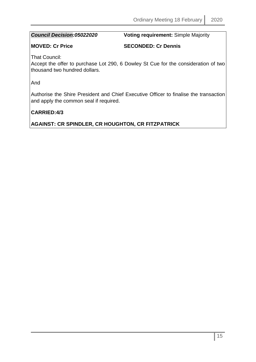*Council Decision:05022020* **Voting requirement:** Simple Majority

**MOVED: Cr Price SECONDED: Cr Dennis**

That Council:

Accept the offer to purchase Lot 290, 6 Dowley St Cue for the consideration of two thousand two hundred dollars.

And

Authorise the Shire President and Chief Executive Officer to finalise the transaction and apply the common seal if required.

# **CARRIED:4/3**

**AGAINST: CR SPINDLER, CR HOUGHTON, CR FITZPATRICK**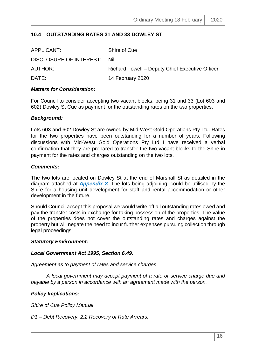# <span id="page-15-0"></span>**10.4 OUTSTANDING RATES 31 AND 33 DOWLEY ST**

| Richard Towell – Deputy Chief Executive Officer |
|-------------------------------------------------|
|                                                 |
|                                                 |

#### *Matters for Consideration:*

For Council to consider accepting two vacant blocks, being 31 and 33 (Lot 603 and 602) Dowley St Cue as payment for the outstanding rates on the two properties.

#### *Background:*

Lots 603 and 602 Dowley St are owned by Mid-West Gold Operations Pty Ltd. Rates for the two properties have been outstanding for a number of years. Following discussions with Mid-West Gold Operations Pty Ltd I have received a verbal confirmation that they are prepared to transfer the two vacant blocks to the Shire in payment for the rates and charges outstanding on the two lots.

#### *Comments:*

The two lots are located on Dowley St at the end of Marshall St as detailed in the diagram attached at *Appendix 3*. The lots being adjoining, could be utilised by the Shire for a housing unit development for staff and rental accommodation or other development in the future.

Should Council accept this proposal we would write off all outstanding rates owed and pay the transfer costs in exchange for taking possession of the properties. The value of the properties does not cover the outstanding rates and charges against the property but will negate the need to incur further expenses pursuing collection through legal proceedings.

#### *Statutory Environment:*

#### *Local Government Act 1995, Section 6.49.*

*Agreement as to payment of rates and service charges*

*A local government may accept payment of a rate or service charge due and payable by a person in accordance with an agreement made with the person.*

#### *Policy Implications:*

*Shire of Cue Policy Manual*

*D1 – Debt Recovery, 2.2 Recovery of Rate Arrears.*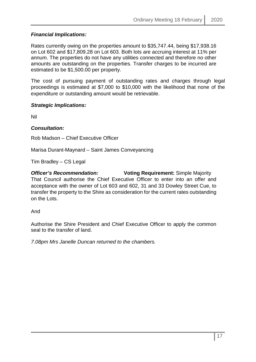# *Financial Implications:*

Rates currently owing on the properties amount to \$35,747.44, being \$17,938.16 on Lot 602 and \$17,809.28 on Lot 603. Both lots are accruing interest at 11% per annum. The properties do not have any utilities connected and therefore no other amounts are outstanding on the properties. Transfer charges to be incurred are estimated to be \$1,500.00 per property.

The cost of pursuing payment of outstanding rates and charges through legal proceedings is estimated at \$7,000 to \$10,000 with the likelihood that none of the expenditure or outstanding amount would be retrievable.

### *Strategic Implications:*

Nil

### *Consultation:*

Rob Madson – Chief Executive Officer

Marisa Durant-Maynard – Saint James Conveyancing

Tim Bradley – CS Legal

*Officer's Recommendation:* **Voting Requirement:** Simple Majority That Council authorise the Chief Executive Officer to enter into an offer and acceptance with the owner of Lot 603 and 602, 31 and 33 Dowley Street Cue, to transfer the property to the Shire as consideration for the current rates outstanding on the Lots.

And

Authorise the Shire President and Chief Executive Officer to apply the common seal to the transfer of land.

*7.08pm Mrs Janelle Duncan returned to the chambers.*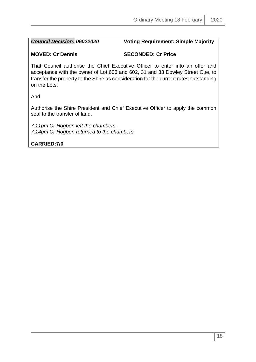# *Council Decision: 06022020* **Voting Requirement: Simple Majority**

# **MOVED: Cr Dennis SECONDED: Cr Price**

That Council authorise the Chief Executive Officer to enter into an offer and acceptance with the owner of Lot 603 and 602, 31 and 33 Dowley Street Cue, to transfer the property to the Shire as consideration for the current rates outstanding on the Lots.

And

Authorise the Shire President and Chief Executive Officer to apply the common seal to the transfer of land.

*7.11pm Cr Hogben left the chambers. 7.14pm Cr Hogben returned to the chambers.*

**CARRIED:7/0**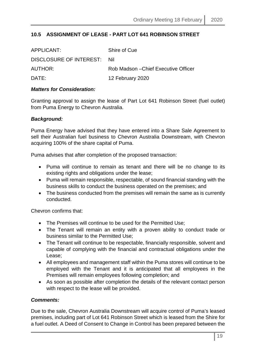# <span id="page-18-0"></span>**10.5 ASSIGNMENT OF LEASE - PART LOT 641 ROBINSON STREET**

| APPLICANT:              | Shire of Cue                         |
|-------------------------|--------------------------------------|
| DISCLOSURE OF INTEREST: | – Nil                                |
| AUTHOR:                 | Rob Madson – Chief Executive Officer |
| DATE:                   | 12 February 2020                     |

#### *Matters for Consideration:*

Granting approval to assign the lease of Part Lot 641 Robinson Street (fuel outlet) from Puma Energy to Chevron Australia.

#### *Background:*

Puma Energy have advised that they have entered into a Share Sale Agreement to sell their Australian fuel business to Chevron Australia Downstream, with Chevron acquiring 100% of the share capital of Puma.

Puma advises that after completion of the proposed transaction:

- Puma will continue to remain as tenant and there will be no change to its existing rights and obligations under the lease;
- Puma will remain responsible, respectable, of sound financial standing with the business skills to conduct the business operated on the premises; and
- The business conducted from the premises will remain the same as is currently conducted.

Chevron confirms that:

- The Premises will continue to be used for the Permitted Use;
- The Tenant will remain an entity with a proven ability to conduct trade or business similar to the Permitted Use;
- The Tenant will continue to be respectable, financially responsible, solvent and capable of complying with the financial and contractual obligations under the Lease;
- All employees and management staff within the Puma stores will continue to be employed with the Tenant and it is anticipated that all employees in the Premises will remain employees following completion; and
- As soon as possible after completion the details of the relevant contact person with respect to the lease will be provided.

#### *Comments:*

Due to the sale, Chevron Australia Downstream will acquire control of Puma's leased premises, including part of Lot 641 Robinson Street which is leased from the Shire for a fuel outlet. A Deed of Consent to Change in Control has been prepared between the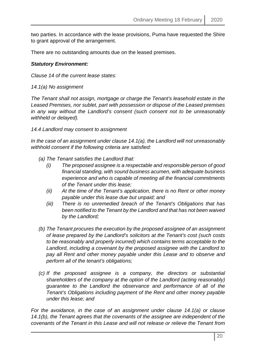two parties. In accordance with the lease provisions, Puma have requested the Shire to grant approval of the arrangement.

There are no outstanding amounts due on the leased premises.

#### *Statutory Environment:*

*Clause 14 of the current lease states:*

*14.1(a) No assignment*

*The Tenant shall not assign, mortgage or charge the Tenant's leasehold estate in the Leased Premises, nor sublet, part with possession or dispose of the Leased premises in any way without the Landlord's consent (such consent not to be unreasonably withheld or delayed).*

*14.4 Landlord may consent to assignment*

*In the case of an assignment under clause 14.1(a), the Landlord will not unreasonably withhold consent if the following criteria are satisfied:*

- *(a) The Tenant satisfies the Landlord that:*
	- *(i) The proposed assignee is a respectable and responsible person of good financial standing, with sound business acumen, with adequate business experience and who is capable of meeting all the financial commitments of the Tenant under this lease;*
	- *(ii) At the time of the Tenant's application, there is no Rent or other money payable under this lease due but unpaid; and*
	- *(iii) There is no unremedied breach of the Tenant's Obligations that has been notified to the Tenant by the Landlord and that has not been waived by the Landlord;*
- *(b) The Tenant procures the execution by the proposed assignee of an assignment of lease prepared by the Landlord's solicitors at the Tenant's cost (such costs to be reasonably and properly incurred) which contains terms acceptable to the*  Landlord, including a covenant by the proposed assignee with the Landlord to *pay all Rent and other money payable under this Lease and to observe and perform all of the tenant's obligations;*
- *(c) If the proposed assignee is a company, the directors or substantial shareholders of the company at the option of the Landlord (acting reasonably) guarantee to the Landlord the observance and performance of all of the Tenant's Obligations including payment of the Rent and other money payable under this lease; and*

*For the avoidance, in the case of an assignment under clause 14.1(a) or clause 14.1(b), the Tenant agrees that the covenants of the assignee are independent of the covenants of the Tenant in this Lease and will not release or relieve the Tenant from*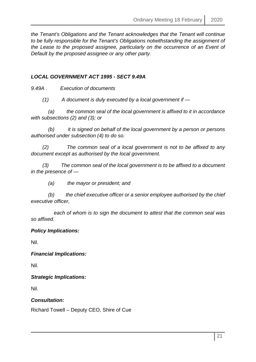*the Tenant's Obligations and the Tenant acknowledges that the Tenant will continue to be fully responsible for the Tenant's Obligations notwithstanding the assignment of the Lease to the proposed assignee, particularly on the occurrence of an Event of Default by the proposed assignee or any other party.*

# *LOCAL GOVERNMENT ACT 1995 - SECT 9.49A*

*9.49A . Execution of documents* 

 *(1) A document is duly executed by a local government if —* 

 *(a) the common seal of the local government is affixed to it in accordance with subsections (2) and (3); or* 

 *(b) it is signed on behalf of the local government by a person or persons authorised under subsection (4) to do so.* 

 *(2) The common seal of a local government is not to be affixed to any document except as authorised by the local government.* 

 *(3) The common seal of the local government is to be affixed to a document in the presence of —*

 *(a) the mayor or president; and* 

 *(b) the chief executive officer or a senior employee authorised by the chief executive officer,* 

 *each of whom is to sign the document to attest that the common seal was so affixed.* 

#### *Policy Implications:*

Nil.

*Financial Implications:*

Nil.

*Strategic Implications:*

Nil.

#### *Consultation:*

Richard Towell – Deputy CEO, Shire of Cue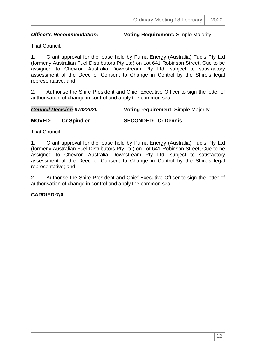*Officer's Recommendation:* **Voting Requirement:** Simple Majority

That Council:

1. Grant approval for the lease held by Puma Energy (Australia) Fuels Pty Ltd (formerly Australian Fuel Distributors Pty Ltd) on Lot 641 Robinson Street, Cue to be assigned to Chevron Australia Downstream Pty Ltd, subject to satisfactory assessment of the Deed of Consent to Change in Control by the Shire's legal representative; and

2. Authorise the Shire President and Chief Executive Officer to sign the letter of authorisation of change in control and apply the common seal.

*Council Decision:07022020* **Voting requirement:** Simple Majority

# **MOVED: Cr Spindler SECONDED: Cr Dennis**

That Council:

1. Grant approval for the lease held by Puma Energy (Australia) Fuels Pty Ltd (formerly Australian Fuel Distributors Pty Ltd) on Lot 641 Robinson Street, Cue to be assigned to Chevron Australia Downstream Pty Ltd, subject to satisfactory assessment of the Deed of Consent to Change in Control by the Shire's legal representative; and

2. Authorise the Shire President and Chief Executive Officer to sign the letter of authorisation of change in control and apply the common seal.

# **CARRIED:7/0**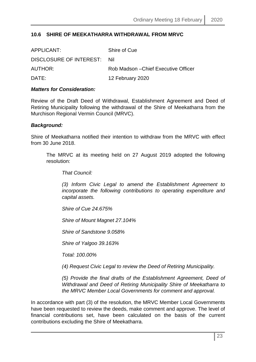#### <span id="page-22-0"></span>**10.6 SHIRE OF MEEKATHARRA WITHDRAWAL FROM MRVC**

| APPLICANT:              | Shire of Cue                         |
|-------------------------|--------------------------------------|
| DISCLOSURE OF INTEREST: | -Nil                                 |
| AUTHOR:                 | Rob Madson – Chief Executive Officer |
| DATE:                   | 12 February 2020                     |

#### *Matters for Consideration:*

Review of the Draft Deed of Withdrawal, Establishment Agreement and Deed of Retiring Municipality following the withdrawal of the Shire of Meekatharra from the Murchison Regional Vermin Council (MRVC).

#### *Background:*

Shire of Meekatharra notified their intention to withdraw from the MRVC with effect from 30 June 2018.

The MRVC at its meeting held on 27 August 2019 adopted the following resolution:

*That Council:*

*(3) Inform Civic Legal to amend the Establishment Agreement to incorporate the following contributions to operating expenditure and capital assets.*

*Shire of Cue 24.675%*

*Shire of Mount Magnet 27.104%*

*Shire of Sandstone 9.058%*

*Shire of Yalgoo 39.163%*

*Total: 100.00%*

*(4) Request Civic Legal to review the Deed of Retiring Municipality.*

*(5) Provide the final drafts of the Establishment Agreement, Deed of Withdrawal and Deed of Retiring Municipality Shire of Meekatharra to the MRVC Member Local Governments for comment and approval.*

In accordance with part (3) of the resolution, the MRVC Member Local Governments have been requested to review the deeds, make comment and approve. The level of financial contributions set, have been calculated on the basis of the current contributions excluding the Shire of Meekatharra.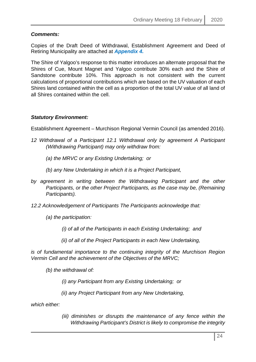# *Comments:*

Copies of the Draft Deed of Withdrawal, Establishment Agreement and Deed of Retiring Municipality are attached at *Appendix 4.*

The Shire of Yalgoo's response to this matter introduces an alternate proposal that the Shires of Cue, Mount Magnet and Yalgoo contribute 30% each and the Shire of Sandstone contribute 10%. This approach is not consistent with the current calculations of proportional contributions which are based on the UV valuation of each Shires land contained within the cell as a proportion of the total UV value of all land of all Shires contained within the cell.

#### *Statutory Environment:*

Establishment Agreement – Murchison Regional Vermin Council (as amended 2016).

- *12 Withdrawal of a Participant 12.1 Withdrawal only by agreement A Participant (Withdrawing Participant) may only withdraw from:* 
	- *(a) the MRVC or any Existing Undertaking; or*
	- *(b) any New Undertaking in which it is a Project Participant,*
- *by agreement in writing between the Withdrawing Participant and the other Participants, or the other Project Participants, as the case may be, (Remaining Participants).*
- *12.2 Acknowledgement of Participants The Participants acknowledge that:* 
	- *(a) the participation:* 
		- *(i) of all of the Participants in each Existing Undertaking; and*
		- *(ii) of all of the Project Participants in each New Undertaking,*

*is of fundamental importance to the continuing integrity of the Murchison Region Vermin Cell and the achievement of the Objectives of the MRVC;* 

*(b) the withdrawal of:* 

*(i) any Participant from any Existing Undertaking; or* 

*(ii) any Project Participant from any New Undertaking,* 

*which either:* 

*(iii) diminishes or disrupts the maintenance of any fence within the Withdrawing Participant's District is likely to compromise the integrity*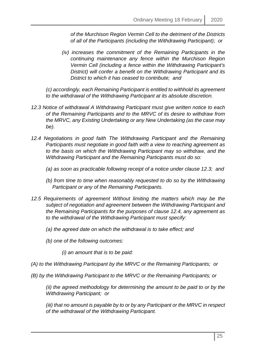*of the Murchison Region Vermin Cell to the detriment of the Districts of all of the Participants (including the Withdrawing Participant); or* 

*(iv) increases the commitment of the Remaining Participants in the continuing maintenance any fence within the Murchison Region Vermin Cell (including a fence within the Withdrawing Participant's District) will confer a benefit on the Withdrawing Participant and its District to which it has ceased to contribute; and* 

*(c) accordingly, each Remaining Participant is entitled to withhold its agreement to the withdrawal of the Withdrawing Participant at its absolute discretion.* 

- *12.3 Notice of withdrawal A Withdrawing Participant must give written notice to each of the Remaining Participants and to the MRVC of its desire to withdraw from the MRVC, any Existing Undertaking or any New Undertaking (as the case may be).*
- 12.4 Negotiations in good faith The Withdrawing Participant and the Remaining *Participants must negotiate in good faith with a view to reaching agreement as to the basis on which the Withdrawing Participant may so withdraw, and the Withdrawing Participant and the Remaining Participants must do so:* 
	- *(a) as soon as practicable following receipt of a notice under clause 12.3; and*
	- *(b) from time to time when reasonably requested to do so by the Withdrawing Participant or any of the Remaining Participants.*
- *12.5 Requirements of agreement Without limiting the matters which may be the subject of negotiation and agreement between the Withdrawing Participant and the Remaining Participants for the purposes of clause 12.4, any agreement as to the withdrawal of the Withdrawing Participant must specify:* 
	- *(a) the agreed date on which the withdrawal is to take effect; and*
	- *(b) one of the following outcomes:*

*(i) an amount that is to be paid:* 

- *(A) to the Withdrawing Participant by the MRVC or the Remaining Participants; or*
- *(B) by the Withdrawing Participant to the MRVC or the Remaining Participants; or*

*(ii) the agreed methodology for determining the amount to be paid to or by the Withdrawing Participant; or* 

*(iii) that no amount is payable by to or by any Participant or the MRVC in respect of the withdrawal of the Withdrawing Participant.*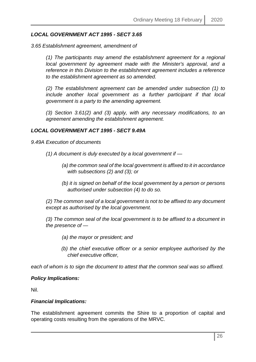### *LOCAL GOVERNMENT ACT 1995 - SECT 3.65*

*3.65 Establishment agreement, amendment of* 

*(1) The participants may amend the establishment agreement for a regional local government by agreement made with the Minister's approval, and a reference in this Division to the establishment agreement includes a reference to the establishment agreement as so amended.* 

*(2) The establishment agreement can be amended under subsection (1) to include another local government as a further participant if that local government is a party to the amending agreement.* 

*(3) Section 3.61(2) and (3) apply, with any necessary modifications, to an agreement amending the establishment agreement.*

#### *LOCAL GOVERNMENT ACT 1995 - SECT 9.49A*

*9.49A Execution of documents* 

- *(1) A document is duly executed by a local government if* 
	- *(a) the common seal of the local government is affixed to it in accordance with subsections (2) and (3); or*
	- *(b) it is signed on behalf of the local government by a person or persons authorised under subsection (4) to do so.*

*(2) The common seal of a local government is not to be affixed to any document except as authorised by the local government.* 

*(3) The common seal of the local government is to be affixed to a document in the presence of —*

- *(a) the mayor or president; and*
- *(b) the chief executive officer or a senior employee authorised by the chief executive officer,*

*each of whom is to sign the document to attest that the common seal was so affixed.*

#### *Policy Implications:*

Nil.

#### *Financial Implications:*

The establishment agreement commits the Shire to a proportion of capital and operating costs resulting from the operations of the MRVC.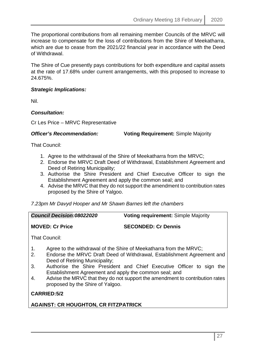The proportional contributions from all remaining member Councils of the MRVC will increase to compensate for the loss of contributions from the Shire of Meekatharra, which are due to cease from the 2021/22 financial year in accordance with the Deed of Withdrawal.

The Shire of Cue presently pays contributions for both expenditure and capital assets at the rate of 17.68% under current arrangements, with this proposed to increase to 24.675%.

# *Strategic Implications:*

Nil.

# *Consultation:*

Cr Les Price – MRVC Representative

*Officer's Recommendation:* **Voting Requirement:** Simple Majority

That Council:

- 1. Agree to the withdrawal of the Shire of Meekatharra from the MRVC;
- 2. Endorse the MRVC Draft Deed of Withdrawal, Establishment Agreement and Deed of Retiring Municipality;
- 3. Authorise the Shire President and Chief Executive Officer to sign the Establishment Agreement and apply the common seal; and
- 4. Advise the MRVC that they do not support the amendment to contribution rates proposed by the Shire of Yalgoo.

# *7.23pm Mr Davyd Hooper and Mr Shawn Barnes left the chambers*

| <b>Council Decision:08022020</b> | <b>Voting requirement: Simple Majority</b> |
|----------------------------------|--------------------------------------------|
|                                  |                                            |

**MOVED: Cr Price SECONDED: Cr Dennis**

That Council:

- 1. Agree to the withdrawal of the Shire of Meekatharra from the MRVC;
- 2. Endorse the MRVC Draft Deed of Withdrawal, Establishment Agreement and Deed of Retiring Municipality;
- 3. Authorise the Shire President and Chief Executive Officer to sign the Establishment Agreement and apply the common seal; and
- 4. Advise the MRVC that they do not support the amendment to contribution rates proposed by the Shire of Yalgoo.

**CARRIED:5/2**

# **AGAINST: CR HOUGHTON, CR FITZPATRICK**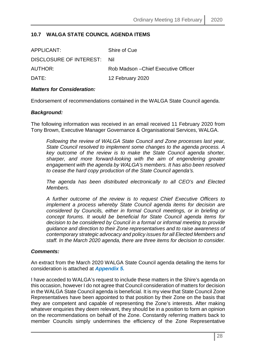# <span id="page-27-0"></span>**10.7 WALGA STATE COUNCIL AGENDA ITEMS**

| APPLICANT:                  | Shire of Cue                         |
|-----------------------------|--------------------------------------|
| DISCLOSURE OF INTEREST: Nil |                                      |
| AUTHOR:                     | Rob Madson – Chief Executive Officer |
| DATE:                       | 12 February 2020                     |

#### *Matters for Consideration:*

Endorsement of recommendations contained in the WALGA State Council agenda.

#### *Background:*

The following information was received in an email received 11 February 2020 from Tony Brown, Executive Manager Governance & Organisational Services, WALGA.

*Following the review of WALGA State Council and Zone processes last year, State Council resolved to implement some changes to the agenda process. A key outcome of the review is to make the State Council agenda shorter, sharper, and more forward-looking with the aim of engendering greater engagement with the agenda by WALGA's members. It has also been resolved to cease the hard copy production of the State Council agenda's.* 

*The agenda has been distributed electronically to all CEO's and Elected Members.*

*A further outcome of the review is to request Chief Executive Officers to implement a process whereby State Council agenda items for decision are considered by Councils, either in formal Council meetings, or in briefing or concept forums. It would be beneficial for State Council agenda items for decision to be considered by Council in a formal or informal meeting to provide guidance and direction to their Zone representatives and to raise awareness of contemporary strategic advocacy and policy issues for all Elected Members and staff. In the March 2020 agenda, there are three items for decision to consider.*

#### *Comments:*

An extract from the March 2020 WALGA State Council agenda detailing the items for consideration is attached at *Appendix 5.*

I have acceded to WALGA's request to include these matters in the Shire's agenda on this occasion, however I do not agree that Council consideration of matters for decision in the WALGA State Council agenda is beneficial. It is my view that State Council Zone Representatives have been appointed to that position by their Zone on the basis that they are competent and capable of representing the Zone's interests. After making whatever enquiries they deem relevant, they should be in a position to form an opinion on the recommendations on behalf of the Zone. Constantly referring matters back to member Councils simply undermines the efficiency of the Zone Representative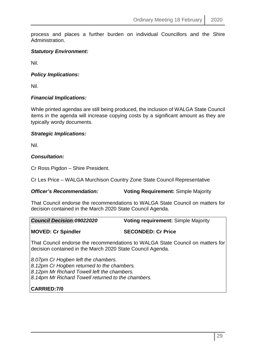process and places a further burden on individual Councillors and the Shire Administration.

### *Statutory Environment:*

Nil.

### *Policy Implications:*

Nil.

### *Financial Implications:*

While printed agendas are still being produced, the inclusion of WALGA State Council items in the agenda will increase copying costs by a significant amount as they are typically wordy documents.

### *Strategic Implications:*

Nil.

### *Consultation:*

Cr Ross Pigdon – Shire President.

Cr Les Price – WALGA Murchison Country Zone State Council Representative

#### *Officer's Recommendation:* **Voting Requirement:** Simple Majority

That Council endorse the recommendations to WALGA State Council on matters for decision contained in the March 2020 State Council Agenda.

| <b>Council Decision:09022020</b>                                                                                                             | <b>Voting requirement: Simple Majority</b> |
|----------------------------------------------------------------------------------------------------------------------------------------------|--------------------------------------------|
| <b>MOVED: Cr Spindler</b>                                                                                                                    | <b>SECONDED: Cr Price</b>                  |
| That Council endorse the recommendations to WALGA State Council on matters for<br>decision contained in the March 2020 State Council Agenda. |                                            |

*8.07pm Cr Hogben left the chambers. 8.12pm Cr Hogben returned to the chambers. 8.12pm Mr Richard Towell left the chambers. 8.14pm Mr Richard Towell returned to the chambers.*

# **CARRIED:7/0**